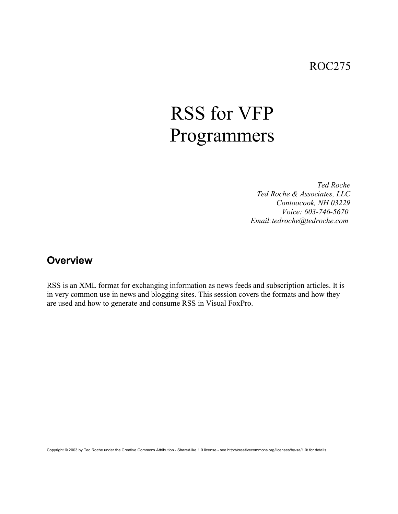## ROC275

# RSS for VFP Programmers

*Ted Roche Ted Roche & Associates, LLC Contoocook, NH 03229 Voice: 603-746-5670 Email:tedroche@tedroche.com* 

#### **Overview**

RSS is an XML format for exchanging information as news feeds and subscription articles. It is in very common use in news and blogging sites. This session covers the formats and how they are used and how to generate and consume RSS in Visual FoxPro.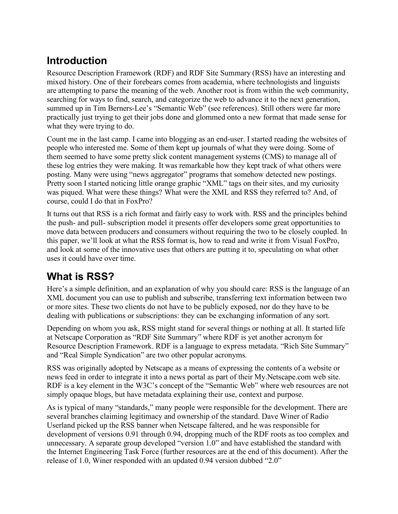## **Introduction**

Resource Description Framework (RDF) and RDF Site Summary (RSS) have an interesting and mixed history. One of their forebears comes from academia, where technologists and linguists are attempting to parse the meaning of the web. Another root is from within the web community, searching for ways to find, search, and categorize the web to advance it to the next generation, summed up in Tim Berners-Lee's "Semantic Web" (see references). Still others were far more practically just trying to get their jobs done and glommed onto a new format that made sense for what they were trying to do.

Count me in the last camp. I came into blogging as an end-user. I started reading the websites of people who interested me. Some of them kept up journals of what they were doing. Some of them seemed to have some pretty slick content management systems (CMS) to manage all of these log entries they were making. It was remarkable how they kept track of what others were posting. Many were using "news aggregator" programs that somehow detected new postings. Pretty soon I started noticing little orange graphic "XML" tags on their sites, and my curiosity was piqued. What were these things? What were the XML and RSS they referred to? And, of course, could I do that in FoxPro?

It turns out that RSS is a rich format and fairly easy to work with. RSS and the principles behind the push- and pull- subscription model it presents offer developers some great opportunities to move data between producers and consumers without requiring the two to be closely coupled. In this paper, we'll look at what the RSS format is, how to read and write it from Visual FoxPro, and look at some of the innovative uses that others are putting it to, speculating on what other uses it could have over time.

# **What is RSS?**

Here's a simple definition, and an explanation of why you should care: RSS is the language of an XML document you can use to publish and subscribe, transferring text information between two or more sites. These two clients do not have to be publicly exposed, nor do they have to be dealing with publications or subscriptions: they can be exchanging information of any sort.

Depending on whom you ask, RSS might stand for several things or nothing at all. It started life at Netscape Corporation as "RDF Site Summary" where RDF is yet another acronym for Resource Description Framework. RDF is a language to express metadata. "Rich Site Summary" and "Real Simple Syndication" are two other popular acronyms.

RSS was originally adopted by Netscape as a means of expressing the contents of a website or news feed in order to integrate it into a news portal as part of their My.Netscape.com web site. RDF is a key element in the W3C's concept of the "Semantic Web" where web resources are not simply opaque blogs, but have metadata explaining their use, context and purpose.

As is typical of many "standards," many people were responsible for the development. There are several branches claiming legitimacy and ownership of the standard. Dave Winer of Radio Userland picked up the RSS banner when Netscape faltered, and he was responsible for development of versions 0.91 through 0.94, dropping much of the RDF roots as too complex and unnecessary. A separate group developed "version 1.0" and have established the standard with the Internet Engineering Task Force (further resources are at the end of this document). After the release of 1.0, Winer responded with an updated 0.94 version dubbed "2.0"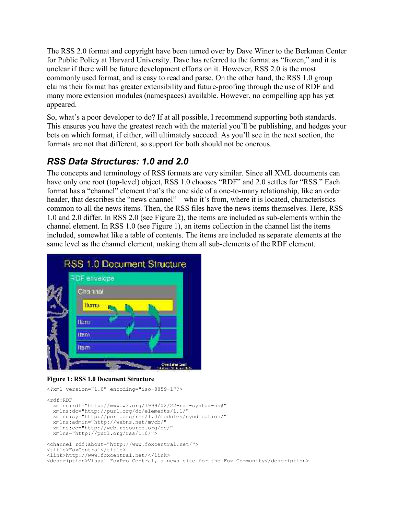The RSS 2.0 format and copyright have been turned over by Dave Winer to the Berkman Center for Public Policy at Harvard University. Dave has referred to the format as "frozen," and it is unclear if there will be future development efforts on it. However, RSS 2.0 is the most commonly used format, and is easy to read and parse. On the other hand, the RSS 1.0 group claims their format has greater extensibility and future-proofing through the use of RDF and many more extension modules (namespaces) available. However, no compelling app has yet appeared.

So, what's a poor developer to do? If at all possible, I recommend supporting both standards. This ensures you have the greatest reach with the material you'll be publishing, and hedges your bets on which format, if either, will ultimately succeed. As you'll see in the next section, the formats are not that different, so support for both should not be onerous.

#### *RSS Data Structures: 1.0 and 2.0*

The concepts and terminology of RSS formats are very similar. Since all XML documents can have only one root (top-level) object, RSS 1.0 chooses "RDF" and 2.0 settles for "RSS." Each format has a "channel" element that's the one side of a one-to-many relationship, like an order header, that describes the "news channel" – who it's from, where it is located, characteristics common to all the news items. Then, the RSS files have the news items themselves. Here, RSS 1.0 and 2.0 differ. In RSS 2.0 (see Figure 2), the items are included as sub-elements within the channel element. In RSS 1.0 (see Figure 1), an items collection in the channel list the items included, somewhat like a table of contents. The items are included as separate elements at the same level as the channel element, making them all sub-elements of the RDF element.



**Figure 1: RSS 1.0 Document Structure**

<?xml version="1.0" encoding="iso-8859-1"?>

```
<rdf \cdot RDF xmlns:rdf="http://www.w3.org/1999/02/22-rdf-syntax-ns#"
   xmlns:dc="http://purl.org/dc/elements/1.1/"
   xmlns:sy="http://purl.org/rss/1.0/modules/syndication/"
   xmlns:admin="http://webns.net/mvcb/"
   xmlns:cc="http://web.resource.org/cc/"
   xmlns="http://purl.org/rss/1.0/">
<channel rdf:about="http://www.foxcentral.net/">
<title>FoxCentral</title>
<link>http://www.foxcentral.net/</link>
<description>Visual FoxPro Central, a news site for the Fox Community</description>
```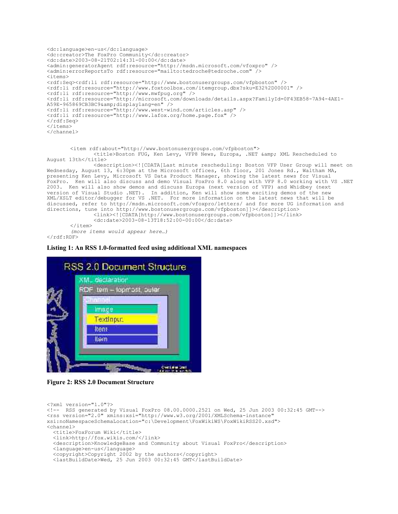```
<dc:language>en-us</dc:language>
<dc:creator>The FoxPro Community</dc:creator>
<dc:date>2003-08-21T02:14:31-00:00</dc:date>
<admin:generatorAgent rdf:resource="http://msdn.microsoft.com/vfoxpro" />
<admin:errorReportsTo rdf:resource="mailto:tedroche@tedroche.com" />
<items>
<rdf:Seq><rdf:li rdf:resource="http://www.bostonusergroups.com/vfpboston" />
<rdf:li rdf:resource="http://www.foxtoolbox.com/itemgroup.dbx?sku=E32%2D00001" />
<rdf:li rdf:resource="http://www.mwfpug.org" />
<rdf:li rdf:resource="http://microsoft.com/downloads/details.aspx?FamilyId=0F43EB58-7A94-4AE1-
A59E-965869CB3BC9&displaylang=en" />
<rdf:li rdf:resource="http://www.west-wind.com/articles.asp" />
<rdf:li rdf:resource="http://www.lafox.org/home.page.fox" />
\langle/rdf:Seq>
</items>
</channel>
       <item rdf:about="http://www.bostonusergroups.com/vfpboston">
               <title>Boston FUG, Ken Levy, VFP8 News, Europa, .NET & amp; XML Rescheduled to
August 13th</title>
              <description><![CDATA[Last minute rescheduling: Boston VFP User Group will meet on
Wednesday, August 13, 6:30pm at the Microsoft offices, 6th floor, 201 Jones Rd., Waltham MA,
presenting Ken Levy, Microsoft VS Data Product Manager, showing the latest news for Visual
FoxPro. Ken will also discuss and demo Visual FoxPro 8.0 along with VFP 8.0 working with VS .NET
2003. Ken will also show demos and discuss Europa (next version of VFP) and Whidbey (next
version of Visual Studio .NET). In addition, Ken will show some exciting demos of the new
XML/XSLT editor/debugger for VS .NET. For more information on the latest news that will be
discussed, refer to http://msdn.microsoft.com/vfoxpro/letters/ and for more UG information and
directions, tune into http://www.bostonusergroups.com/vfpboston]]></description>
               <link><![CDATA[http://www.bostonusergroups.com/vfpboston]]></link>
               <dc:date>2003-08-13T18:52:00-00:00</dc:date>
       </item>
       (more items would appear here…)
```

```
\langle/rdf:RDF>
```
**Listing 1: An RSS 1.0-formatted feed using additional XML namespaces**



**Figure 2: RSS 2.0 Document Structure**

```
<?xml version="1.0"?> 
<!-- RSS generated by Visual FoxPro 08.00.0000.2521 on Wed, 25 Jun 2003 00:32:45 GMT--> 
<rss version="2.0" xmlns:xsi="http://www.w3.org/2001/XMLSchema-instance"
xsi:noNamespaceSchemaLocation="c:\Development\FoxWikiWS\FoxWikiRSS20.xsd">
<channel>
   <title>FoxForum Wiki</title> 
   <link>http://fox.wikis.com/</link> 
   <description>KnowledgeBase and Community about Visual FoxPro</description> 
   <language>en-us</language> 
   <copyright>Copyright 2002 by the authors</copyright> 
   <lastBuildDate>Wed, 25 Jun 2003 00:32:45 GMT</lastBuildDate>
```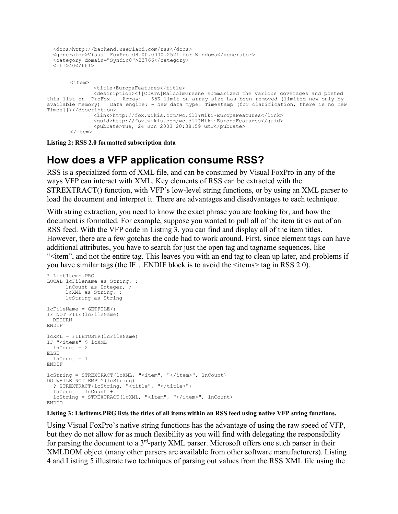```
 <docs>http://backend.userland.com/rss</docs> 
   <generator>Visual FoxPro 08.00.0000.2521 for Windows</generator> 
   <category domain="Syndic8">23766</category> 
  <ttl>40</ttl>
       <item>
              <title>EuropaFeatures</title>
              <description><![CDATA[MalcolmGreene summarized the various coverages and posted
this list on ProFox . Array: - 65K limit on array size has been removed (limited now only by
available memory) Data engine: - New data type: Timestamp (for clarification, there is no new
Times]]></description>
              <link>http://fox.wikis.com/wc.dll?Wiki~EuropaFeatures</link>
              <guid>http://fox.wikis.com/wc.dll?Wiki~EuropaFeatures</guid>
              <pubDate>Tue, 24 Jun 2003 20:38:59 GMT</pubDate>
       </item>
```
**Listing 2: RSS 2.0 formatted subscription data**

#### **How does a VFP application consume RSS?**

RSS is a specialized form of XML file, and can be consumed by Visual FoxPro in any of the ways VFP can interact with XML. Key elements of RSS can be extracted with the STREXTRACT() function, with VFP's low-level string functions, or by using an XML parser to load the document and interpret it. There are advantages and disadvantages to each technique.

With string extraction, you need to know the exact phrase you are looking for, and how the document is formatted. For example, suppose you wanted to pull all of the item titles out of an RSS feed. With the VFP code in Listing 3, you can find and display all of the item titles. However, there are a few gotchas the code had to work around. First, since element tags can have additional attributes, you have to search for just the open tag and tagname sequences, like  $\le$ item", and not the entire tag. This leaves you with an end tag to clean up later, and problems if you have similar tags (the IF...ENDIF block is to avoid the  $\le$ items $>$ tag in RSS 2.0).

```
* ListItems.PRG
LOCAL lcFilename as String, ;
      lnCount as Integer, ;
       lcXML as String, ;
      lcString as String
lcrileName = GETFILE()
IF NOT FILE(lcFileName)
  RETURN
ENDIF
lcXML = FILETOSTR(lcFileName)
IF "<items" $ lcXML
  lnCount = 2
ELSE
 lnCount = 1ENDIF
lcString = STREXTRACT(lcXML, "<item", "</item>", lnCount)
DO WHILE NOT EMPTY(lcString)
  ? STREXTRACT(lcString, "<title", "</title>")
  lnCount = lnCount + 1lcString = STREXTRACT(lcXML, "<item", "</item>", lnCount)
ENDDO
```
#### **Listing 3: ListItems.PRG lists the titles of all items within an RSS feed using native VFP string functions.**

Using Visual FoxPro's native string functions has the advantage of using the raw speed of VFP, but they do not allow for as much flexibility as you will find with delegating the responsibility for parsing the document to a  $3<sup>rd</sup>$ -party XML parser. Microsoft offers one such parser in their XMLDOM object (many other parsers are available from other software manufacturers). Listing 4 and Listing 5 illustrate two techniques of parsing out values from the RSS XML file using the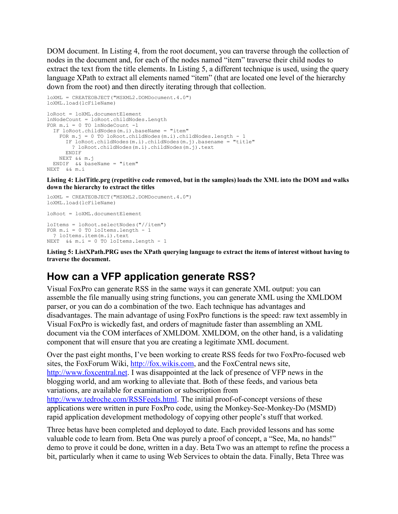DOM document. In Listing 4, from the root document, you can traverse through the collection of nodes in the document and, for each of the nodes named "item" traverse their child nodes to extract the text from the title elements. In Listing 5, a different technique is used, using the query language XPath to extract all elements named "item" (that are located one level of the hierarchy down from the root) and then directly iterating through that collection.

```
loXML = CREATEOBJECT("MSXML2.DOMDocument.4.0")
loXML.load(lcFileName)
loRoot = loXML.documentElement
lnNodeCount = loRoot.childNodes.Length
FOR m.i = 0 TO lnNodeCount -1 IF loRoot.childNodes(m.i).baseName = "item"
   FOR m.j = 0 TO loRoot.childNodes(m.i).childNodes.length - 1
      IF loRoot.childNodes(m.i).childNodes(m.j).basename = "title"
        ? loRoot.childNodes(m.i).childNodes(m.j).text
      ENDIF
    NEXT && m.j
  ENDIF && baseName = "item"
NEXT && m.i
```
**Listing 4: ListTitle.prg (repetitive code removed, but in the samples) loads the XML into the DOM and walks down the hierarchy to extract the titles**

```
loXML = CREATEOBJECT("MSXML2.DOMDocument.4.0")
loXML.load(lcFileName)
loRoot = loXML.documentElement
loItems = loRoot.selectNodes("//item")
FOR m.i = 0 TO loItems.length - 1
  ? loItems.item(m.i).text
NEXT &&m.i = 0 TO loItems.length - 1
```
**Listing 5: ListXPath.PRG uses the XPath querying language to extract the items of interest without having to traverse the document.**

#### **How can a VFP application generate RSS?**

Visual FoxPro can generate RSS in the same ways it can generate XML output: you can assemble the file manually using string functions, you can generate XML using the XMLDOM parser, or you can do a combination of the two. Each technique has advantages and disadvantages. The main advantage of using FoxPro functions is the speed: raw text assembly in Visual FoxPro is wickedly fast, and orders of magnitude faster than assembling an XML document via the COM interfaces of XMLDOM. XMLDOM, on the other hand, is a validating component that will ensure that you are creating a legitimate XML document.

Over the past eight months, I've been working to create RSS feeds for two FoxPro-focused web sites, the FoxForum Wiki, http://fox.wikis.com, and the FoxCentral news site, http://www.foxcentral.net. I was disappointed at the lack of presence of VFP news in the blogging world, and am working to alleviate that. Both of these feeds, and various beta variations, are available for examination or subscription from http://www.tedroche.com/RSSFeeds.html. The initial proof-of-concept versions of these applications were written in pure FoxPro code, using the Monkey-See-Monkey-Do (MSMD) rapid application development methodology of copying other people's stuff that worked.

Three betas have been completed and deployed to date. Each provided lessons and has some valuable code to learn from. Beta One was purely a proof of concept, a "See, Ma, no hands!" demo to prove it could be done, written in a day. Beta Two was an attempt to refine the process a bit, particularly when it came to using Web Services to obtain the data. Finally, Beta Three was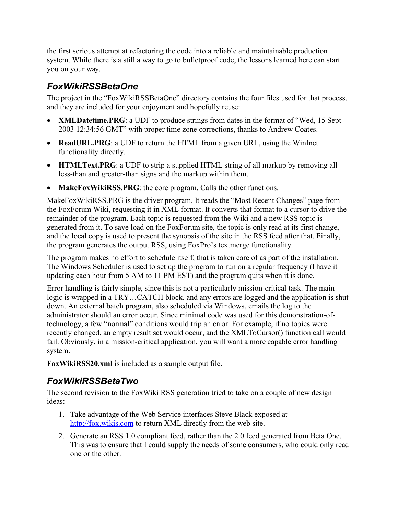the first serious attempt at refactoring the code into a reliable and maintainable production system. While there is a still a way to go to bulletproof code, the lessons learned here can start you on your way.

#### *FoxWikiRSSBetaOne*

The project in the "FoxWikiRSSBetaOne" directory contains the four files used for that process, and they are included for your enjoyment and hopefully reuse:

- · **XMLDatetime.PRG**: a UDF to produce strings from dates in the format of "Wed, 15 Sept 2003 12:34:56 GMT" with proper time zone corrections, thanks to Andrew Coates.
- · **ReadURL.PRG**: a UDF to return the HTML from a given URL, using the WinInet functionality directly.
- · **HTMLText.PRG**: a UDF to strip a supplied HTML string of all markup by removing all less-than and greater-than signs and the markup within them.
- · **MakeFoxWikiRSS.PRG**: the core program. Calls the other functions.

MakeFoxWikiRSS.PRG is the driver program. It reads the "Most Recent Changes" page from the FoxForum Wiki, requesting it in XML format. It converts that format to a cursor to drive the remainder of the program. Each topic is requested from the Wiki and a new RSS topic is generated from it. To save load on the FoxForum site, the topic is only read at its first change, and the local copy is used to present the synopsis of the site in the RSS feed after that. Finally, the program generates the output RSS, using FoxPro's textmerge functionality.

The program makes no effort to schedule itself; that is taken care of as part of the installation. The Windows Scheduler is used to set up the program to run on a regular frequency (I have it updating each hour from 5 AM to 11 PM EST) and the program quits when it is done.

Error handling is fairly simple, since this is not a particularly mission-critical task. The main logic is wrapped in a TRY…CATCH block, and any errors are logged and the application is shut down. An external batch program, also scheduled via Windows, emails the log to the administrator should an error occur. Since minimal code was used for this demonstration-oftechnology, a few "normal" conditions would trip an error. For example, if no topics were recently changed, an empty result set would occur, and the XMLToCursor() function call would fail. Obviously, in a mission-critical application, you will want a more capable error handling system.

**FoxWikiRSS20.xml** is included as a sample output file.

#### *FoxWikiRSSBetaTwo*

The second revision to the FoxWiki RSS generation tried to take on a couple of new design ideas:

- 1. Take advantage of the Web Service interfaces Steve Black exposed at http://fox.wikis.com to return XML directly from the web site.
- 2. Generate an RSS 1.0 compliant feed, rather than the 2.0 feed generated from Beta One. This was to ensure that I could supply the needs of some consumers, who could only read one or the other.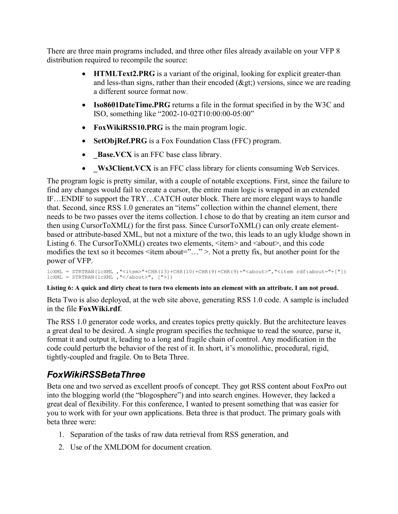There are three main programs included, and three other files already available on your VFP 8 distribution required to recompile the source:

- · **HTMLText2.PRG** is a variant of the original, looking for explicit greater-than and less-than signs, rather than their encoded  $(\&$ gt;) versions, since we are reading a different source format now.
- · **Iso8601DateTime.PRG** returns a file in the format specified in by the W3C and ISO, something like "2002-10-02T10:00:00-05:00"
- · **FoxWikiRSS10.PRG** is the main program logic.
- · **SetObjRef.PRG** is a Fox Foundation Class (FFC) program.
- · **\_Base.VCX** is an FFC base class library.
- **Ws3Client.VCX** is an FFC class library for clients consuming Web Services.

The program logic is pretty similar, with a couple of notable exceptions. First, since the failure to find any changes would fail to create a cursor, the entire main logic is wrapped in an extended IF…ENDIF to support the TRY…CATCH outer block. There are more elegant ways to handle that. Second, since RSS 1.0 generates an "items" collection within the channel element, there needs to be two passes over the items collection. I chose to do that by creating an item cursor and then using CursorToXML() for the first pass. Since CursorToXML() can only create elementbased or attribute-based XML, but not a mixture of the two, this leads to an ugly kludge shown in Listing 6. The CursorToXML() creates two elements,  $\leq$ item $>$  and  $\leq$ about $>$ , and this code modifies the text so it becomes <item about="..." >. Not a pretty fix, but another point for the power of VFP.

```
lcXML = STRTRAN(lcXML ,"<item>"+CHR(13)+CHR(10)+CHR(9)+CHR(9)+"<about>","<item rdf:about="+["])
lcXML = STRTRAN(lcXML ,"</about>", [">])
```
#### **Listing 6: A quick and dirty cheat to turn two elements into an element with an attribute. I am not proud.**

Beta Two is also deployed, at the web site above, generating RSS 1.0 code. A sample is included in the file **FoxWiki.rdf**.

The RSS 1.0 generator code works, and creates topics pretty quickly. But the architecture leaves a great deal to be desired. A single program specifies the technique to read the source, parse it, format it and output it, leading to a long and fragile chain of control. Any modification in the code could perturb the behavior of the rest of it. In short, it's monolithic, procedural, rigid, tightly-coupled and fragile. On to Beta Three.

### *FoxWikiRSSBetaThree*

Beta one and two served as excellent proofs of concept. They got RSS content about FoxPro out into the blogging world (the "blogosphere") and into search engines. However, they lacked a great deal of flexibility. For this conference, I wanted to present something that was easier for you to work with for your own applications. Beta three is that product. The primary goals with beta three were:

- 1. Separation of the tasks of raw data retrieval from RSS generation, and
- 2. Use of the XMLDOM for document creation.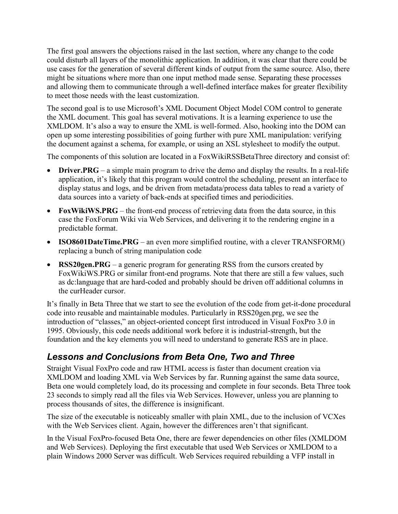The first goal answers the objections raised in the last section, where any change to the code could disturb all layers of the monolithic application. In addition, it was clear that there could be use cases for the generation of several different kinds of output from the same source. Also, there might be situations where more than one input method made sense. Separating these processes and allowing them to communicate through a well-defined interface makes for greater flexibility to meet those needs with the least customization.

The second goal is to use Microsoft's XML Document Object Model COM control to generate the XML document. This goal has several motivations. It is a learning experience to use the XMLDOM. It's also a way to ensure the XML is well-formed. Also, hooking into the DOM can open up some interesting possibilities of going further with pure XML manipulation: verifying the document against a schema, for example, or using an XSL stylesheet to modify the output.

The components of this solution are located in a FoxWikiRSSBetaThree directory and consist of:

- **Driver.PRG** a simple main program to drive the demo and display the results. In a real-life application, it's likely that this program would control the scheduling, present an interface to display status and logs, and be driven from metadata/process data tables to read a variety of data sources into a variety of back-ends at specified times and periodicities.
- · **FoxWikiWS.PRG** the front-end process of retrieving data from the data source, in this case the FoxForum Wiki via Web Services, and delivering it to the rendering engine in a predictable format.
- · **ISO8601DateTime.PRG** an even more simplified routine, with a clever TRANSFORM() replacing a bunch of string manipulation code
- **RSS20gen.PRG** a generic program for generating RSS from the cursors created by FoxWikiWS.PRG or similar front-end programs. Note that there are still a few values, such as dc:language that are hard-coded and probably should be driven off additional columns in the curHeader cursor.

It's finally in Beta Three that we start to see the evolution of the code from get-it-done procedural code into reusable and maintainable modules. Particularly in RSS20gen.prg, we see the introduction of "classes," an object-oriented concept first introduced in Visual FoxPro 3.0 in 1995. Obviously, this code needs additional work before it is industrial-strength, but the foundation and the key elements you will need to understand to generate RSS are in place.

#### *Lessons and Conclusions from Beta One, Two and Three*

Straight Visual FoxPro code and raw HTML access is faster than document creation via XMLDOM and loading XML via Web Services by far. Running against the same data source, Beta one would completely load, do its processing and complete in four seconds. Beta Three took 23 seconds to simply read all the files via Web Services. However, unless you are planning to process thousands of sites, the difference is insignificant.

The size of the executable is noticeably smaller with plain XML, due to the inclusion of VCXes with the Web Services client. Again, however the differences aren't that significant.

In the Visual FoxPro-focused Beta One, there are fewer dependencies on other files (XMLDOM and Web Services). Deploying the first executable that used Web Services or XMLDOM to a plain Windows 2000 Server was difficult. Web Services required rebuilding a VFP install in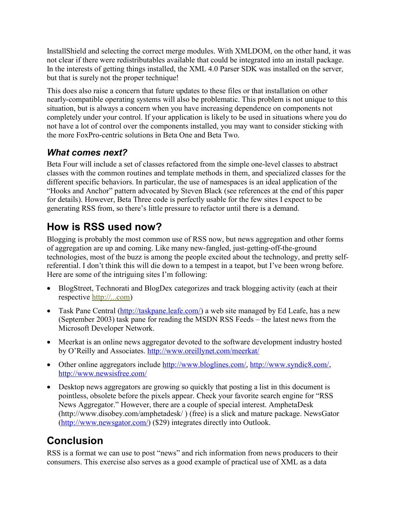InstallShield and selecting the correct merge modules. With XMLDOM, on the other hand, it was not clear if there were redistributables available that could be integrated into an install package. In the interests of getting things installed, the XML 4.0 Parser SDK was installed on the server, but that is surely not the proper technique!

This does also raise a concern that future updates to these files or that installation on other nearly-compatible operating systems will also be problematic. This problem is not unique to this situation, but is always a concern when you have increasing dependence on components not completely under your control. If your application is likely to be used in situations where you do not have a lot of control over the components installed, you may want to consider sticking with the more FoxPro-centric solutions in Beta One and Beta Two.

### *What comes next?*

Beta Four will include a set of classes refactored from the simple one-level classes to abstract classes with the common routines and template methods in them, and specialized classes for the different specific behaviors. In particular, the use of namespaces is an ideal application of the "Hooks and Anchor" pattern advocated by Steven Black (see references at the end of this paper for details). However, Beta Three code is perfectly usable for the few sites I expect to be generating RSS from, so there's little pressure to refactor until there is a demand.

# **How is RSS used now?**

Blogging is probably the most common use of RSS now, but news aggregation and other forms of aggregation are up and coming. Like many new-fangled, just-getting-off-the-ground technologies, most of the buzz is among the people excited about the technology, and pretty selfreferential. I don't think this will die down to a tempest in a teapot, but I've been wrong before. Here are some of the intriguing sites I'm following:

- BlogStreet, Technorati and BlogDex categorizes and track blogging activity (each at their respective http://...com)
- Task Pane Central (http://taskpane.leafe.com/) a web site managed by Ed Leafe, has a new (September 2003) task pane for reading the MSDN RSS Feeds – the latest news from the Microsoft Developer Network.
- · Meerkat is an online news aggregator devoted to the software development industry hosted by O'Reilly and Associates. http://www.oreillynet.com/meerkat/
- Other online aggregators include http://www.bloglines.com/, http://www.syndic8.com/, http://www.newsisfree.com/
- Desktop news aggregators are growing so quickly that posting a list in this document is pointless, obsolete before the pixels appear. Check your favorite search engine for "RSS News Aggregator." However, there are a couple of special interest. AmphetaDesk (http://www.disobey.com/amphetadesk/ ) (free) is a slick and mature package. NewsGator (http://www.newsgator.com/) (\$29) integrates directly into Outlook.

# **Conclusion**

RSS is a format we can use to post "news" and rich information from news producers to their consumers. This exercise also serves as a good example of practical use of XML as a data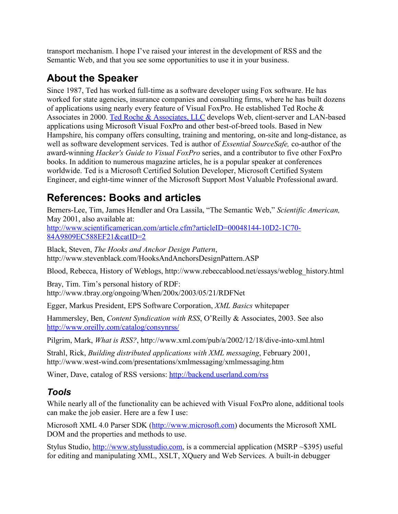transport mechanism. I hope I've raised your interest in the development of RSS and the Semantic Web, and that you see some opportunities to use it in your business.

# **About the Speaker**

Since 1987, Ted has worked full-time as a software developer using Fox software. He has worked for state agencies, insurance companies and consulting firms, where he has built dozens of applications using nearly every feature of Visual FoxPro. He established Ted Roche & Associates in 2000. Ted Roche & Associates, LLC develops Web, client-server and LAN-based applications using Microsoft Visual FoxPro and other best-of-breed tools. Based in New Hampshire, his company offers consulting, training and mentoring, on-site and long-distance, as well as software development services. Ted is author of *Essential SourceSafe,* co-author of the award-winning *Hacker's Guide to Visual FoxPro* series, and a contributor to five other FoxPro books. In addition to numerous magazine articles, he is a popular speaker at conferences worldwide. Ted is a Microsoft Certified Solution Developer, Microsoft Certified System Engineer, and eight-time winner of the Microsoft Support Most Valuable Professional award.

# **References: Books and articles**

Berners-Lee, Tim, James Hendler and Ora Lassila, "The Semantic Web," *Scientific American,* May 2001, also available at: http://www.scientificamerican.com/article.cfm?articleID=00048144-10D2-1C70- 84A9809EC588EF21&catID=2

Black, Steven, *The Hooks and Anchor Design Pattern*, http://www.stevenblack.com/HooksAndAnchorsDesignPattern.ASP

Blood, Rebecca, History of Weblogs, http://www.rebeccablood.net/essays/weblog\_history.html

Bray, Tim. Tim's personal history of RDF: http://www.tbray.org/ongoing/When/200x/2003/05/21/RDFNet

Egger, Markus President, EPS Software Corporation, *XML Basics* whitepaper

Hammersley, Ben, *Content Syndication with RSS*, O'Reilly & Associates, 2003. See also http://www.oreilly.com/catalog/consynrss/

Pilgrim, Mark, *What is RSS?*, http://www.xml.com/pub/a/2002/12/18/dive-into-xml.html

Strahl, Rick, *Building distributed applications with XML messaging*, February 2001, http://www.west-wind.com/presentations/xmlmessaging/xmlmessaging.htm

Winer, Dave, catalog of RSS versions: http://backend.userland.com/rss

### *Tools*

While nearly all of the functionality can be achieved with Visual FoxPro alone, additional tools can make the job easier. Here are a few I use:

Microsoft XML 4.0 Parser SDK (http://www.microsoft.com) documents the Microsoft XML DOM and the properties and methods to use.

Stylus Studio, http://www.stylusstudio.com, is a commercial application (MSRP ~\$395) useful for editing and manipulating XML, XSLT, XQuery and Web Services. A built-in debugger